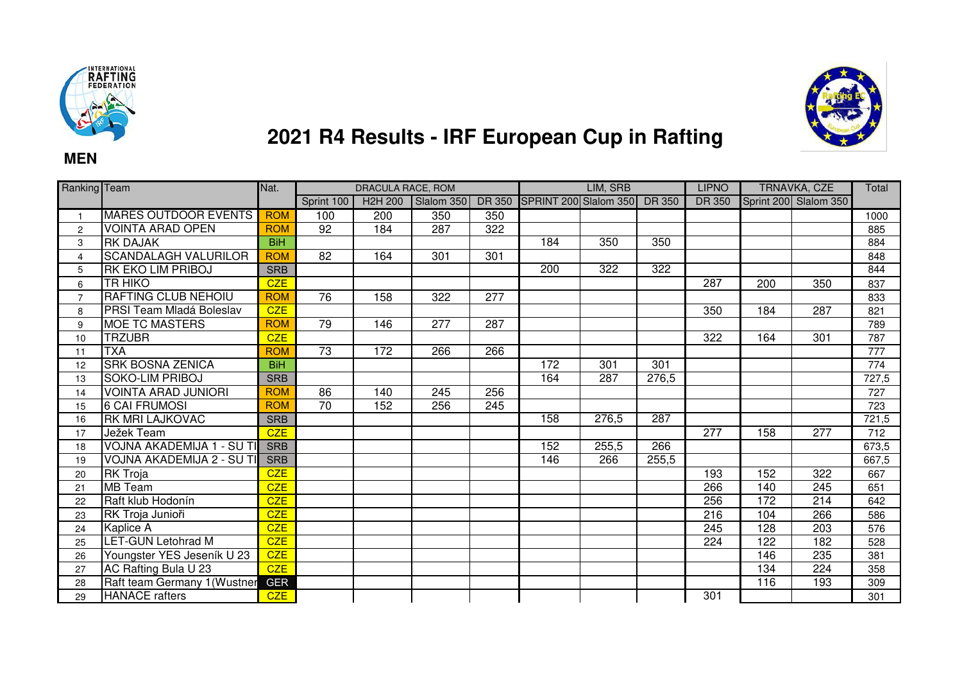

**MEN**



## **2021 R4 Results - IRF European Cup in Rafting**

| Ranking Team   |                                 | Nat.       | DRACULA RACE, ROM |                      |            |               |                       | LIM, SRB         |                  | <b>LIPNO</b>  | <b>TRNAVKA, CZE</b> |                       | Total |
|----------------|---------------------------------|------------|-------------------|----------------------|------------|---------------|-----------------------|------------------|------------------|---------------|---------------------|-----------------------|-------|
|                |                                 |            | Sprint 100        | H <sub>2</sub> H 200 | Slalom 350 | <b>DR 350</b> | SPRINT 200 Slalom 350 |                  | <b>DR 350</b>    | <b>DR 350</b> |                     | Sprint 200 Slalom 350 |       |
|                | <b>MARES OUTDOOR EVENTS</b>     | <b>ROM</b> | 100               | $\overline{200}$     | 350        | 350           |                       |                  |                  |               |                     |                       | 1000  |
| $\overline{2}$ | <b>VOINTA ARAD OPEN</b>         | <b>ROM</b> | $\overline{92}$   | 184                  | 287        | 322           |                       |                  |                  |               |                     |                       | 885   |
| 3              | <b>RK DAJAK</b>                 | <b>BiH</b> |                   |                      |            |               | 184                   | 350              | 350              |               |                     |                       | 884   |
| 4              | <b>SCANDALAGH VALURILOR</b>     | <b>ROM</b> | $\overline{82}$   | 164                  | 301        | 301           |                       |                  |                  |               |                     |                       | 848   |
| 5              | RK EKO LIM PRIBOJ               | <b>SRB</b> |                   |                      |            |               | $\overline{200}$      | $\overline{322}$ | $\overline{322}$ |               |                     |                       | 844   |
| 6              | <b>TR HIKO</b>                  | <b>CZE</b> |                   |                      |            |               |                       |                  |                  | 287           | 200                 | 350                   | 837   |
| $\overline{7}$ | <b>RAFTING CLUB NEHOIU</b>      | <b>ROM</b> | 76                | 158                  | 322        | 277           |                       |                  |                  |               |                     |                       | 833   |
| 8              | <b>PRSI Team Mladá Boleslav</b> | CZE        |                   |                      |            |               |                       |                  |                  | 350           | 184                 | 287                   | 821   |
| 9              | <b>MOE TC MASTERS</b>           | <b>ROM</b> | 79                | 146                  | 277        | 287           |                       |                  |                  |               |                     |                       | 789   |
| 10             | <b>TRZUBR</b>                   | <b>CZE</b> |                   |                      |            |               |                       |                  |                  | 322           | 164                 | 301                   | 787   |
| 11             | <b>ITXA</b>                     | <b>ROM</b> | $\overline{73}$   | 172                  | 266        | 266           |                       |                  |                  |               |                     |                       | 777   |
| 12             | <b>SRK BOSNA ZENICA</b>         | <b>BiH</b> |                   |                      |            |               | 172                   | 301              | 301              |               |                     |                       | 774   |
| 13             | <b>SOKO-LIM PRIBOJ</b>          | <b>SRB</b> |                   |                      |            |               | 164                   | 287              | 276,5            |               |                     |                       | 727,5 |
| 14             | <b>VOINTA ARAD JUNIORI</b>      | <b>ROM</b> | 86                | 140                  | 245        | 256           |                       |                  |                  |               |                     |                       | 727   |
| 15             | <b>6 CAI FRUMOSI</b>            | <b>ROM</b> | $\overline{70}$   | 152                  | 256        | 245           |                       |                  |                  |               |                     |                       | 723   |
| 16             | <b>RK MRI LAJKOVAC</b>          | <b>SRB</b> |                   |                      |            |               | 158                   | 276,5            | 287              |               |                     |                       | 721,5 |
| 17             | Ježek Team                      | <b>CZE</b> |                   |                      |            |               |                       |                  |                  | 277           | 158                 | 277                   | 712   |
| 18             | VOJNA AKADEMIJA 1 - SU TI       | <b>SRB</b> |                   |                      |            |               | 152                   | 255,5            | 266              |               |                     |                       | 673,5 |
| 19             | VOJNA AKADEMIJA 2 - SU TI       | <b>SRB</b> |                   |                      |            |               | 146                   | 266              | 255,5            |               |                     |                       | 667,5 |
| 20             | <b>RK Troja</b>                 | <b>CZE</b> |                   |                      |            |               |                       |                  |                  | 193           | 152                 | 322                   | 667   |
| 21             | <b>MB</b> Team                  | <b>CZE</b> |                   |                      |            |               |                       |                  |                  | 266           | 140                 | 245                   | 651   |
| 22             | Raft klub Hodonín               | <b>CZE</b> |                   |                      |            |               |                       |                  |                  | 256           | 172                 | 214                   | 642   |
| 23             | RK Troja Junioři                | <b>CZE</b> |                   |                      |            |               |                       |                  |                  | 216           | 104                 | 266                   | 586   |
| 24             | Kaplice A                       | CZE        |                   |                      |            |               |                       |                  |                  | 245           | 128                 | 203                   | 576   |
| 25             | <b>LET-GUN Letohrad M</b>       | <b>CZE</b> |                   |                      |            |               |                       |                  |                  | 224           | 122                 | 182                   | 528   |
| 26             | Youngster YES Jeseník U 23      | <b>CZE</b> |                   |                      |            |               |                       |                  |                  |               | 146                 | 235                   | 381   |
| 27             | AC Rafting Bula U 23            | <b>CZE</b> |                   |                      |            |               |                       |                  |                  |               | 134                 | 224                   | 358   |
| 28             | Raft team Germany 1 (Wustner    | <b>GER</b> |                   |                      |            |               |                       |                  |                  |               | 116                 | 193                   | 309   |
| 29             | <b>HANACE</b> rafters           | <b>CZE</b> |                   |                      |            |               |                       |                  |                  | 301           |                     |                       | 301   |